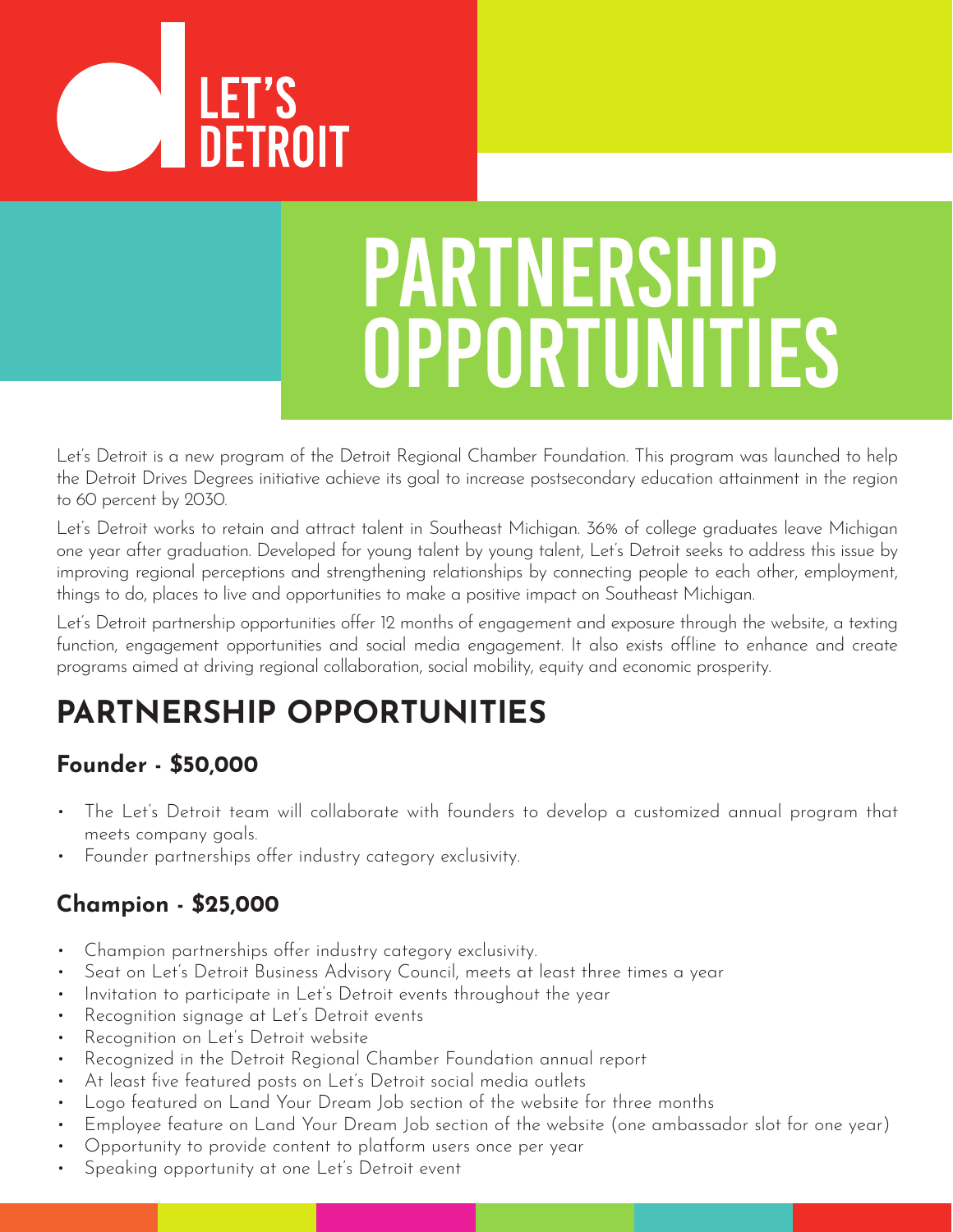

# PARTNERSHIP OPPORTUNITIES

Let's Detroit is a new program of the Detroit Regional Chamber Foundation. This program was launched to help the Detroit Drives Degrees initiative achieve its goal to increase postsecondary education attainment in the region to 60 percent by 2030.

Let's Detroit works to retain and attract talent in Southeast Michigan. 36% of college graduates leave Michigan one year after graduation. Developed for young talent by young talent, Let's Detroit seeks to address this issue by improving regional perceptions and strengthening relationships by connecting people to each other, employment, things to do, places to live and opportunities to make a positive impact on Southeast Michigan.

Let's Detroit partnership opportunities offer 12 months of engagement and exposure through the website, a texting function, engagement opportunities and social media engagement. It also exists offline to enhance and create programs aimed at driving regional collaboration, social mobility, equity and economic prosperity.

# **PARTNERSHIP OPPORTUNITIES**

# **Founder - \$50,000**

- The Let's Detroit team will collaborate with founders to develop a customized annual program that meets company goals.
- Founder partnerships offer industry category exclusivity.

## **Champion - \$25,000**

- Champion partnerships offer industry category exclusivity.
- Seat on Let's Detroit Business Advisory Council, meets at least three times a year
- Invitation to participate in Let's Detroit events throughout the year
- Recognition signage at Let's Detroit events
- Recognition on Let's Detroit website
- Recognized in the Detroit Regional Chamber Foundation annual report
- At least five featured posts on Let's Detroit social media outlets
- Logo featured on Land Your Dream Job section of the website for three months
- Employee feature on Land Your Dream Job section of the website (one ambassador slot for one year)
- Opportunity to provide content to platform users once per year
- Speaking opportunity at one Let's Detroit event